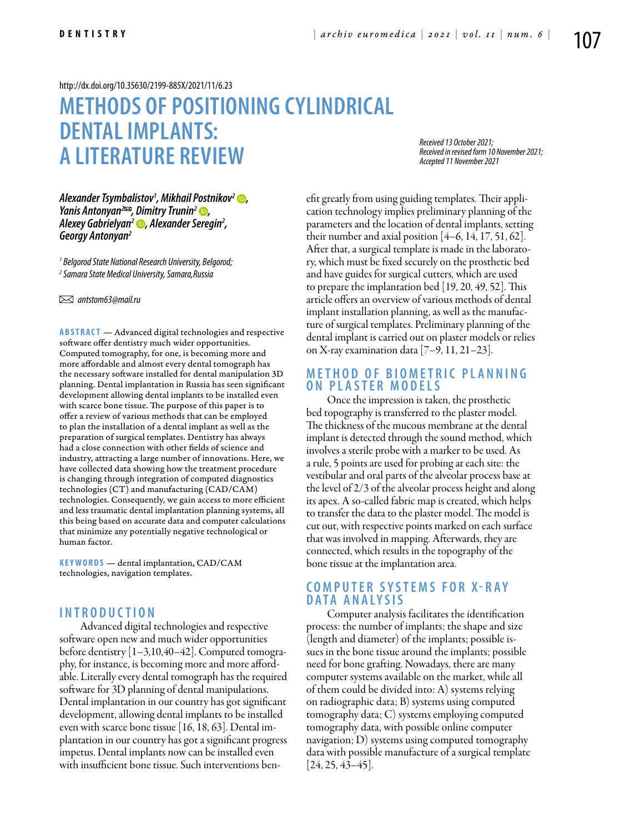## <http://dx.doi.org/10.35630/2199-885X/2021/11/6.23>

# **METHODS OF POSITIONING CYLINDRICAL DENTALIMPLANTS: A LITERATURE REVIEW**

*Received 13 October 2021; Received in revised form 10 November 2021; Accepted 11 November 2021*

*Alexander Tsymbalistov1 , [Mikhail Postnikov](https://orcid.org/0000-0002-7199-5207)2 , Yanis Antonyan<sup>2</sup><sup>∞</sup>, Dimitry Trunin<sup>2</sup> <sup>●</sup>, [Alexey Gabrielyan](https://orcid.org/0000-0002-5321-6070)2 , Alexander Seregin2 , Georgy Antonyan2*

*1 Belgorod State National Research University, Belgorod; 2 Samara State Medical University, Samara,Russia* 

 *antstom63@mail.ru*

**ABSTRACT** — Advanced digital technologies and respective software offer dentistry much wider opportunities. Computed tomography, for one, is becoming more and more affordable and almost every dental tomograph has the necessary software installed for dental manipulation 3D planning. Dental implantation in Russia has seen significant development allowing dental implants to be installed even with scarce bone tissue. The purpose of this paper is to offer a review of various methods that can be employed to plan the installation of a dental implant as well as the preparation of surgical templates. Dentistry has always had a close connection with other fields of science and industry, attracting a large number of innovations. Here, we have collected data showing how the treatment procedure is changing through integration of computed diagnostics technologies (CT) and manufacturing (CAD/CAM) technologies. Consequently, we gain access to more efficient and less traumatic dental implantation planning systems, all this being based on accurate data and computer calculations that minimize any potentially negative technological or human factor.

**KEYWORDS** — dental implantation, CAD/CAM technologies, navigation templates.

## **I n t r o d uct i o n**

Advanced digital technologies and respective software open new and much wider opportunities before dentistry [1–3,10,40–42]. Computed tomography, for instance, is becoming more and more affordable. Literally every dental tomograph has the required software for 3D planning of dental manipulations. Dental implantation in our country has got significant development, allowing dental implants to be installed even with scarce bone tissue [16, 18, 63]. Dental implantation in our country has got a significant progress impetus. Dental implants now can be installed even with insufficient bone tissue. Such interventions benefit greatly from using guiding templates. Their application technology implies preliminary planning of the parameters and the location of dental implants, setting their number and axial position  $[4-6, 14, 17, 51, 62]$ . After that, a surgical template is made in the laboratory, which must be fixed securely on the prosthetic bed and have guides for surgical cutters, which are used to prepare the implantation bed [19, 20, 49, 52]. This article offers an overview of various methods of dental implant installation planning, as well as the manufacture of surgical templates. Preliminary planning of the dental implant is carried out on plaster models or relies on X-ray examination data [7–9, 11, 21–23].

## **M e t h o d o f b i ome t r ic p l a n n i n g o n p l a s t e r mo d e l s**

Once the impression is taken, the prosthetic bed topography is transferred to the plaster model. The thickness of the mucous membrane at the dental implant is detected through the sound method, which involves a sterile probe with a marker to be used. As a rule, 5 points are used for probing at each site: the vestibular and oral parts of the alveolar process base at the level of 2/3 of the alveolar process height and along its apex. A so-called fabric map is created, which helps to transfer the data to the plaster model. The model is cut out, with respective points marked on each surface that was involved in mapping. Afterwards, they are connected, which results in the topography of the bone tissue at the implantation area.

## **C ompu t e r s y s t ems f o r X - r a y DATA ANALYSIS**

Computer analysis facilitates the identification process: the number of implants; the shape and size (length and diameter) of the implants; possible issues in the bone tissue around the implants; possible need for bone grafting. Nowadays, there are many computer systems available on the market, while all of them could be divided into: A) systems relying on radiographic data; B) systems using computed tomography data; C) systems employing computed tomography data, with possible online computer navigation; D) systems using computed tomography data with possible manufacture of a surgical template  $[24, 25, 43 - 45]$ .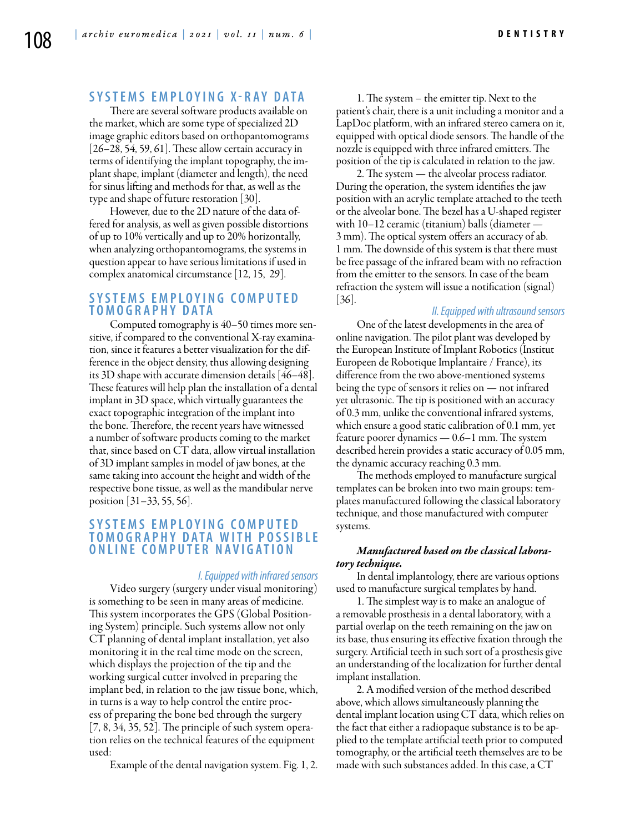### **Sy s t ems emp l o y i n g X - r a y d a t a**

There are several software products available on the market, which are some type of specialized 2D image graphic editors based on orthopantomograms [26–28, 54, 59, 61]. These allow certain accuracy in terms of identifying the implant topography, the implant shape, implant (diameter and length), the need for sinus lifting and methods for that, as well as the type and shape of future restoration [30].

However, due to the 2D nature of the data offered for analysis, as well as given possible distortions of up to 10% vertically and up to 20% horizontally, when analyzing orthopantomograms, the systems in question appear to have serious limitations if used in complex anatomical circumstance [12, 15, 29].

## **Sy s t ems emp l o y i n g c ompu t e d t omo g r a ph y d a t a**

Computed tomography is 40–50 times more sensitive, if compared to the conventional X-ray examination, since it features a better visualization for the difference in the object density, thus allowing designing its 3D shape with accurate dimension details [46–48]. These features will help plan the installation of a dental implant in 3D space, which virtually guarantees the exact topographic integration of the implant into the bone. Therefore, the recent years have witnessed a number of software products coming to the market that, since based on CT data, allow virtual installation of 3D implant samples in model of jaw bones, at the same taking into account the height and width of the respective bone tissue, as well as the mandibular nerve position [31–33, 55, 56].

## **SYSTEMS EMPLOYING COMPUTED t omo g r a ph y d a t a w i t h p o s s i b l e o n l i n e c ompu t e r n a v i g a t i o n**

#### *I. Equipped with infrared sensors*

Video surgery (surgery under visual monitoring) is something to be seen in many areas of medicine. This system incorporates the GPS (Global Positioning System) principle. Such systems allow not only CT planning of dental implant installation, yet also monitoring it in the real time mode on the screen, which displays the projection of the tip and the working surgical cutter involved in preparing the implant bed, in relation to the jaw tissue bone, which, in turns is a way to help control the entire process of preparing the bone bed through the surgery [7, 8, 34, 35, 52]. The principle of such system operation relies on the technical features of the equipment used:

Example of the dental navigation system. Fig. 1, 2.

1. The system – the emitter tip. Next to the patient's chair, there is a unit including a monitor and a LapDoc platform, with an infrared stereo camera on it, equipped with optical diode sensors. The handle of the nozzle is equipped with three infrared emitters. The position of the tip is calculated in relation to the jaw.

2. The system — the alveolar process radiator. During the operation, the system identifies the jaw position with an acrylic template attached to the teeth or the alveolar bone. The bezel has a U-shaped register with 10–12 ceramic (titanium) balls (diameter — 3 mm). The optical system offers an accuracy of ab. 1 mm. The downside of this system is that there must be free passage of the infrared beam with no refraction from the emitter to the sensors. In case of the beam refraction the system will issue a notification (signal) [36].

#### *II. Equipped with ultrasound sensors*

One of the latest developments in the area of online navigation. The pilot plant was developed by the European Institute of Implant Robotics (Institut Europeen de Robotique Implantaire / France), its difference from the two above-mentioned systems being the type of sensors it relies on — not infrared yet ultrasonic. The tip is positioned with an accuracy of 0.3 mm, unlike the conventional infrared systems, which ensure a good static calibration of 0.1 mm, yet feature poorer dynamics — 0.6–1 mm. The system described herein provides a static accuracy of 0.05 mm, the dynamic accuracy reaching 0.3 mm.

The methods employed to manufacture surgical templates can be broken into two main groups: templates manufactured following the classical laboratory technique, and those manufactured with computer systems.

#### *Manufactured based on the classical laboratory technique.*

In dental implantology, there are various options used to manufacture surgical templates by hand.

1. The simplest way is to make an analogue of a removable prosthesis in a dental laboratory, with a partial overlap on the teeth remaining on the jaw on its base, thus ensuring its effective fixation through the surgery. Artificial teeth in such sort of a prosthesis give an understanding of the localization for further dental implant installation.

2. A modified version of the method described above, which allows simultaneously planning the dental implant location using CT data, which relies on the fact that either a radiopaque substance is to be applied to the template artificial teeth prior to computed tomography, or the artificial teeth themselves are to be made with such substances added. In this case, a CT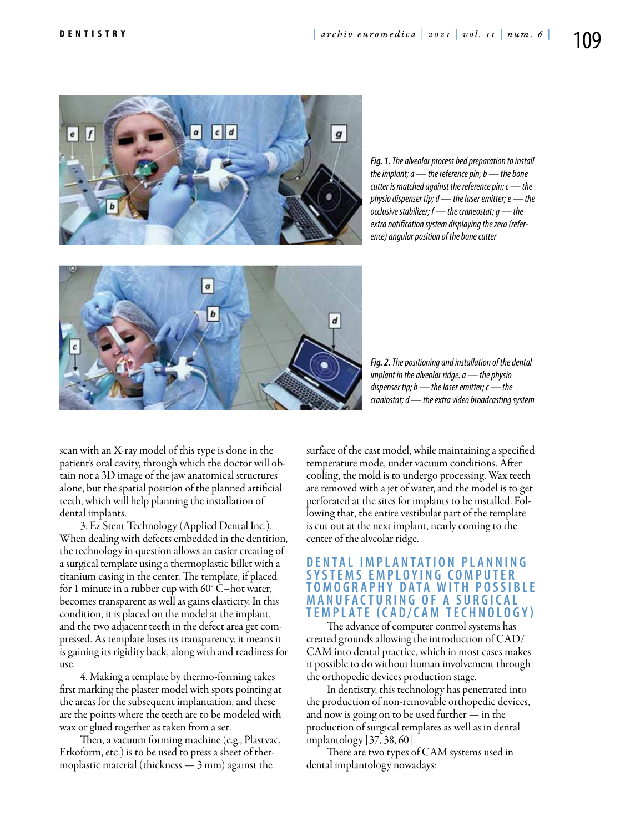

*Fig. 1. The alveolar process bed preparation to install the implant; a — the reference pin; b — the bone cutter is matched against the reference pin; c — the physio dispenser tip; d — the laser emitter; e — the occlusive stabilizer; f — the craneostat; g — the extra notification system displaying the zero (reference) angular position of the bone cutter*



*Fig. 2. The positioning and installation of the dental implant in the alveolar ridge. a — the physio dispenser tip; b — the laser emitter; c — the craniostat; d — the extra video broadcasting system*

scan with an X-ray model of this type is done in the patient's oral cavity, through which the doctor will obtain not a 3D image of the jaw anatomical structures alone, but the spatial position of the planned artificial teeth, which will help planning the installation of dental implants.

3. Ez Stent Technology (Applied Dental Inc.). When dealing with defects embedded in the dentition, the technology in question allows an easier creating of a surgical template using a thermoplastic billet with a titanium casing in the center. The template, if placed for 1 minute in a rubber cup with 60° C–hot water, becomes transparent as well as gains elasticity. In this condition, it is placed on the model at the implant, and the two adjacent teeth in the defect area get compressed. As template loses its transparency, it means it is gaining its rigidity back, along with and readiness for use.

4. Making a template by thermo-forming takes first marking the plaster model with spots pointing at the areas for the subsequent implantation, and these are the points where the teeth are to be modeled with wax or glued together as taken from a set.

Then, a vacuum forming machine (e.g., Plastvac, Erkoform, etc.) is to be used to press a sheet of thermoplastic material (thickness — 3 mm) against the

surface of the cast model, while maintaining a specified temperature mode, under vacuum conditions. After cooling, the mold is to undergo processing. Wax teeth are removed with a jet of water, and the model is to get perforated at the sites for implants to be installed. Following that, the entire vestibular part of the template is cut out at the next implant, nearly coming to the center of the alveolar ridge.

## **D e n t a l imp l a n t a t i o n p l a n n i n g s y s t ems emp l o y i n g c ompu t e r t omo g r a ph y d a t a w i t h p o s s i b l e ma n uf a ct u r i n g o f a s u r g ic a l t emp l a t e ( C AD / C AM t ech n o l o g y )**

The advance of computer control systems has created grounds allowing the introduction of CAD/ CAM into dental practice, which in most cases makes it possible to do without human involvement through the orthopedic devices production stage.

In dentistry, this technology has penetrated into the production of non-removable orthopedic devices, and now is going on to be used further — in the production of surgical templates as well as in dental implantology [37, 38, 60].

There are two types of CAM systems used in dental implantology nowadays: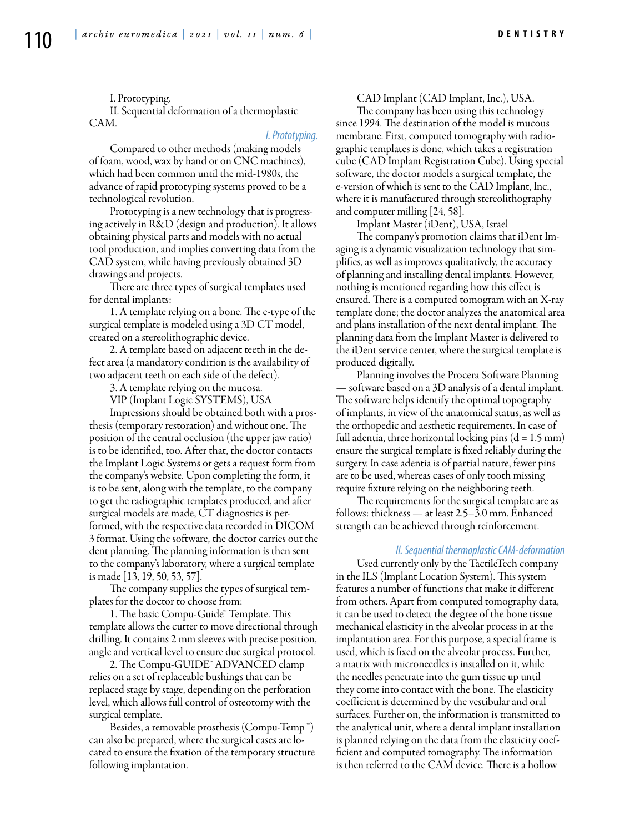I. Prototyping. II. Sequential deformation of a thermoplastic CAM.

#### *I. Prototyping.*

Compared to other methods (making models of foam, wood, wax by hand or on CNC machines), which had been common until the mid-1980s, the advance of rapid prototyping systems proved to be a technological revolution.

Prototyping is a new technology that is progressing actively in R&D (design and production). It allows obtaining physical parts and models with no actual tool production, and implies converting data from the CAD system, while having previously obtained 3D drawings and projects.

There are three types of surgical templates used for dental implants:

1. A template relying on a bone. The e-type of the surgical template is modeled using a 3D CT model, created on a stereolithographic device.

2. A template based on adjacent teeth in the defect area (a mandatory condition is the availability of two adjacent teeth on each side of the defect).

3. A template relying on the mucosa.

VIP (Implant Logic SYSTEMS), USA

Impressions should be obtained both with a prosthesis (temporary restoration) and without one. The position of the central occlusion (the upper jaw ratio) is to be identified, too. After that, the doctor contacts the Implant Logic Systems or gets a request form from the company's website. Upon completing the form, it is to be sent, along with the template, to the company to get the radiographic templates produced, and after surgical models are made, CT diagnostics is performed, with the respective data recorded in DICOM 3 format. Using the software, the doctor carries out the dent planning. The planning information is then sent to the company's laboratory, where a surgical template is made [13, 19, 50, 53, 57].

The company supplies the types of surgical templates for the doctor to choose from:

1. The basic Compu-Guide™ Template. This template allows the cutter to move directional through drilling. It contains 2 mm sleeves with precise position, angle and vertical level to ensure due surgical protocol.

2. The Compu-GUIDE™ ADVANCED clamp relies on a set of replaceable bushings that can be replaced stage by stage, depending on the perforation level, which allows full control of osteotomy with the surgical template.

Besides, a removable prosthesis (Compu-Temp ™) can also be prepared, where the surgical cases are located to ensure the fixation of the temporary structure following implantation.

CAD Implant (CAD Implant, Inc.), USA.

The company has been using this technology since 1994. The destination of the model is mucous membrane. First, computed tomography with radiographic templates is done, which takes a registration cube (CAD Implant Registration Cube). Using special software, the doctor models a surgical template, the e-version of which is sent to the CAD Implant, Inc., where it is manufactured through stereolithography and computer milling [24, 58].

Implant Master (iDent), USA, Israel

The company's promotion claims that iDent Imaging is a dynamic visualization technology that simplifies, as well as improves qualitatively, the accuracy of planning and installing dental implants. However, nothing is mentioned regarding how this effect is ensured. There is a computed tomogram with an X-ray template done; the doctor analyzes the anatomical area and plans installation of the next dental implant. The planning data from the Implant Master is delivered to the iDent service center, where the surgical template is produced digitally.

Planning involves the Procera Software Planning — software based on a 3D analysis of a dental implant. The software helps identify the optimal topography of implants, in view of the anatomical status, as well as the orthopedic and aesthetic requirements. In case of full adentia, three horizontal locking pins  $(d = 1.5 \text{ mm})$ ensure the surgical template is fixed reliably during the surgery. In case adentia is of partial nature, fewer pins are to be used, whereas cases of only tooth missing require fixture relying on the neighboring teeth.

The requirements for the surgical template are as follows: thickness — at least 2.5–3.0 mm. Enhanced strength can be achieved through reinforcement.

#### *II. Sequential thermoplastic CAM-deformation*

Used currently only by the TactileTech company in the ILS (Implant Location System). This system features a number of functions that make it different from others. Apart from computed tomography data, it can be used to detect the degree of the bone tissue mechanical elasticity in the alveolar process in at the implantation area. For this purpose, a special frame is used, which is fixed on the alveolar process. Further, a matrix with microneedles is installed on it, while the needles penetrate into the gum tissue up until they come into contact with the bone. The elasticity coefficient is determined by the vestibular and oral surfaces. Further on, the information is transmitted to the analytical unit, where a dental implant installation is planned relying on the data from the elasticity coefficient and computed tomography. The information is then referred to the CAM device. There is a hollow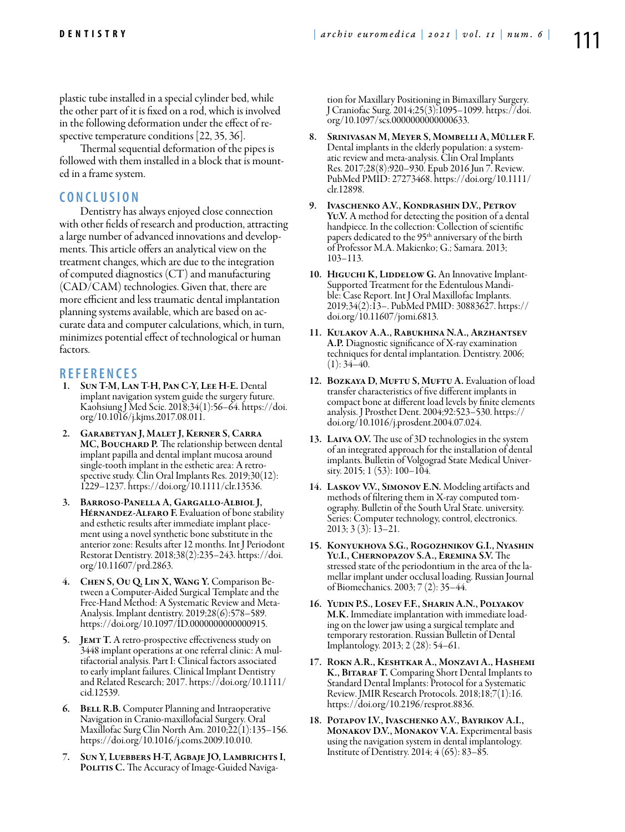plastic tube installed in a special cylinder bed, while the other part of it is fixed on a rod, which is involved in the following deformation under the effect of respective temperature conditions [22, 35, 36].

Thermal sequential deformation of the pipes is followed with them installed in a block that is mounted in a frame system.

## **C o n cl u s i o n**

Dentistry has always enjoyed close connection with other fields of research and production, attracting a large number of advanced innovations and developments. This article offers an analytical view on the treatment changes, which are due to the integration of computed diagnostics (CT) and manufacturing (CAD/CAM) technologies. Given that, there are more efficient and less traumatic dental implantation planning systems available, which are based on accurate data and computer calculations, which, in turn, minimizes potential effect of technological or human factors.

## **REFEREN CES**

- SUN T-M, LAN T-H, PAN C-Y, LEE H-E. Dental implant navigation system guide the surgery future. Kaohsiung J Med Scie. 2018;34(1):56–64. https://doi. org/10.1016/j.kjms.2017.08.011.
- 2. Garabetyan J, Malet J, Kerner S, Carra MC, BOUCHARD P. The relationship between dental implant papilla and dental implant mucosa around single-tooth implant in the esthetic area: A retrospective study. Clin Oral Implants Res. 2019;30(12): 1229–1237. https://doi.org/10.1111/clr.13536.
- 3. Barroso-Panella A, Gargallo-Albiol J, HÉRNANDEZ-ALFARO F. Evaluation of bone stability and esthetic results after immediate implant placement using a novel synthetic bone substitute in the anterior zone: Results after 12 months. Int J Periodont Restorat Dentistry. 2018;38(2):235–243. https://doi. org/10.11607/prd.2863.
- 4. Chen S, Ou Q, Lin X, Wang Y. Comparison Be- tween a Computer-Aided Surgical Template and the Free-Hand Method: A Systematic Review and Meta-Analysis. Implant dentistry. 2019;28(6):578–589. https://doi.org/10.1097/ID.0000000000000915.
- 5. JEMT T. A retro-prospective effectiveness study on 3448 implant operations at one referral clinic: A multifactorial analysis. Part I: Clinical factors associated to early implant failures. Clinical Implant Dentistry and Related Research; 2017. https://doi.org/10.1111/ cid.12539.
- **6.** BELL R.B. Computer Planning and Intraoperative Navigation in Cranio-maxillofacial Surgery. Oral Maxillofac Surg Clin North Am. 2010;22(1):135–156. https://doi.org/10.1016/j.coms.2009.10.010.
- 7. Sun Y, Luebbers H-T, Agbaje JO, Lambrichts I, POLITIS C. The Accuracy of Image-Guided Naviga-

tion for Maxillary Positioning in Bimaxillary Surgery. J Craniofac Surg. 2014;25(3):1095–1099. https://doi. org/10.1097/scs.0000000000000633.

- 8. Srinivasan M, Meyer S, Mombelli A, Müller F. Dental implants in the elderly population: a systematic review and meta-analysis. Clin Oral Implants Res. 2017;28(8):920–930. Epub 2016 Jun 7. Review. PubMed PMID: 27273468. https://doi.org/10.1111/ clr.12898.
- 9. Ivaschenko A.V., Kondrashin D.V., Petrov Yu.V. A method for detecting the position of a dental handpiece. In the collection: Collection of scientific papers dedicated to the 95<sup>th</sup> anniversary of the birth of Professor M.A. Makienko; G.; Samara. 2013; 103–113.
- 10. HIGUCHI K, LIDDELOW G. An Innovative Implant-Supported Treatment for the Edentulous Mandible: Case Report. Int J Oral Maxillofac Implants. 2019;34(2):13–. PubMed PMID: 30883627. https:// doi.org/10.11607/jomi.6813.
- 11. Kulakov A.A., Rabukhina N.A., Arzhantsev A.P. Diagnostic significance of X-ray examination techniques for dental implantation. Dentistry. 2006;  $(1): 34-40.$
- 12. BOZKAYA D, MUFTU S, MUFTU A. Evaluation of load transfer characteristics of five different implants in compact bone at different load levels by finite elements analysis. J Prosthet Dent. 2004;92:523–530. https:// doi.org/10.1016/j.prosdent.2004.07.024.
- 13. LAIVA O.V. The use of 3D technologies in the system of an integrated approach for the installation of dental implants. Bulletin of Volgograd State Medical University. 2015; 1 (53): 100–104.
- 14. LASKOV V.V., SIMONOV E.N. Modeling artifacts and methods of filtering them in X-ray computed tomography. Bulletin of the South Ural State. university. Series: Computer technology, control, electronics. 2013; 3 (3): 13–21.
- 15. Konyukhova S.G., Rogozhnikov G.I., Nyashin Yu.I., Chernopazov S.A., Eremina S.V. The stressed state of the periodontium in the area of the lamellar implant under occlusal loading. Russian Journal of Biomechanics. 2003; 7 (2): 35–44.
- 16. Yudin P.S., Losev F.F., Sharin A.N., Polyakov M.K. Immediate implantation with immediate loading on the lower jaw using a surgical template and temporary restoration. Russian Bulletin of Dental Implantology. 2013; 2 (28): 54–61.
- 17. Rokn A.R., Keshtkar A., Monzavi A., Hashemi K., BITARAF T. Comparing Short Dental Implants to Standard Dental Implants: Protocol for a Systematic Review. JMIR Research Protocols. 2018;18;7(1):16. https://doi.org/10.2196/resprot.8836.
- 18. Potapov I.V., Ivaschenko A.V., Bayrikov A.I., Monakov D.V., Monakov V.A. Experimental basis using the navigation system in dental implantology. Institute of Dentistry. 2014; 4 (65): 83–85.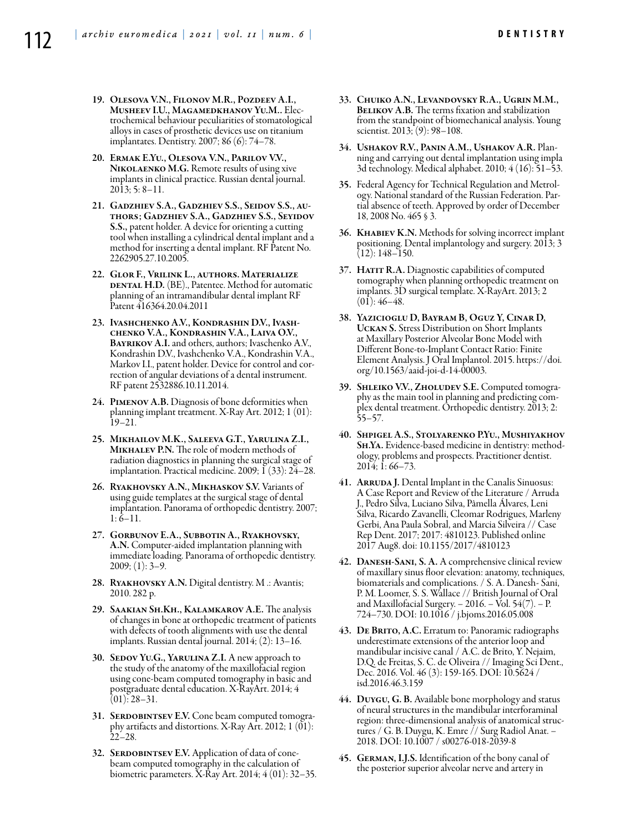- 19. Olesova V.N., Filonov M.R., Pozdeev A.I., Musheev I.U., Magamedkhanov Yu.M.. Electrochemical behaviour peculiarities of stomatological alloys in cases of prosthetic devices use on titanium implantates. Dentistry. 2007; 86 (6): 74–78.
- 20. Ermak E.Yu., Olesova V.N., Parilov V.V., NIKOLAENKO M.G. Remote results of using xive implants in clinical practice. Russian dental journal. 2013; 5: 8–11.
- 21. Gadzhiev S.A., Gadzhiev S.S., Seidov S.S., authors; Gadzhiev S.A., Gadzhiev S.S., Seyidov S.S., patent holder. A device for orienting a cutting tool when installing a cylindrical dental implant and a method for inserting a dental implant. RF Patent No. 2262905.27.10.2005.
- 22. Glor F., Vrilink L., authors. Materialize DENTAL H.D. (BE)., Patentee. Method for automatic planning of an intramandibular dental implant RF Patent 416364.20.04.2011
- 23. Ivashchenko A.V., Kondrashin D.V., Ivash- chenko V.A., Kondrashin V.A., Laiva O.V., BAYRIKOV A.I. and others, authors; Ivaschenko A.V., Kondrashin D.V., Ivashchenko V.A., Kondrashin V.A., Markov I.I., patent holder. Device for control and correction of angular deviations of a dental instrument. RF patent 2532886.10.11.2014.
- 24. Pimenov A.B. Diagnosis of bone deformities when planning implant treatment. X-Ray Art. 2012; 1 (01): 19–21.
- 25. Mikhailov M.K., Saleeva G.T., Yarulina Z.I., MIKHALEV P.N. The role of modern methods of radiation diagnostics in planning the surgical stage of implantation. Practical medicine. 2009; I (33): 24-28.
- 26. Ryakhovsky A.N., Mikhaskov S.V. Variants of using guide templates at the surgical stage of dental implantation. Panorama of orthopedic dentistry. 2007;  $1: 6-11.$
- 27. Gorbunov E.A., Subbotin A., Ryakhovsky, A.N. Computer-aided implantation planning with immediate loading. Panorama of orthopedic dentistry.  $2009; (1): 3-9.$
- 28. Ryakhovsky A.N. Digital dentistry. M .: Avantis; 2010. 282 р.
- 29. Saakian Sh.Kh., Kalamkarov A.E. The analysis of changes in bone at orthopedic treatment of patients with defects of tooth alignments with use the dental implants. Russian dental journal. 2014; (2): 13–16.
- 30. SEDOV YU.G., YARULINA Z.I. A new approach to the study of the anatomy of the maxillofacial region using cone-beam computed tomography in basic and postgraduate dental education. X-RayArt. 2014; 4  $(01): 28-31.$
- 31. Serdobintsev E.V. Cone beam computed tomogra- phy artifacts and distortions. X-Ray Art. 2012; 1 (01): 22–28.
- 32. SERDOBINTSEV E.V. Application of data of conebeam computed tomography in the calculation of biometric parameters. X-Ray Art. 2014; 4 (01): 32–35.
- 33. Chuiko A.N., Levandovsky R.A., Ugrin M.M., BELIKOV A.B. The terms fixation and stabilization from the standpoint of biomechanical analysis. Young scientist. 2013; (9): 98-108.
- 34. Ushakov R.V., Panin A.M., Ushakov A.R. Plan- ning and carrying out dental implantation using impla 3d technology. Medical alphabet. 2010; 4 (16): 51–53.
- 35. Federal Agency for Technical Regulation and Metrol- ogy. National standard of the Russian Federation. Par- tial absence of teeth. Approved by order of December 18, 2008 No. 465 § 3.
- 36. Khabiev K.N. Methods for solving incorrect implant positioning. Dental implantology and surgery. 2013; 3 (12): 148–150.
- 37. HATIT R.A. Diagnostic capabilities of computed tomography when planning orthopedic treatment on implants. 3D surgical template. X-RayArt. 2013; 2  $(01): 46-48.$
- 38. Yazicioglu D, Bayram B, Oguz Y, Cinar D, Uckan S. Stress Distribution on Short Implants at Maxillary Posterior Alveolar Bone Model with Different Bone-to-Implant Contact Ratio: Finite Element Analysis. J Oral Implantol. 2015. https://doi. org/10.1563/aaid-joi-d-14-00003.
- 39. SHLEIKO V.V., ZHOLUDEV S.E. Computed tomography as the main tool in planning and predicting complex dental treatment. Orthopedic dentistry. 2013; 2: 55–57.
- 40. Shpigel A.S., Stolyarenko P.Yu., Mushiyakhov Sh.Ya. Evidence-based medicine in dentistry: method- ology, problems and prospects. Practitioner dentist. 2014; 1: 66–73.
- 41. ARRUDA J. Dental Implant in the Canalis Sinuosus: A Case Report and Review of the Literature / Arruda J., Pedro Silva, Luciano Silva, Pâmella Álvares, Leni Silva, Ricardo Zavanelli, Cleomar Rodrigues, Marleny Gerbi, Ana Paula Sobral, and Marcia Silveira // Case Rep Dent. 2017; 2017: 4810123. Published online 2017 Aug8. doi: 10.1155/2017/4810123
- 42. Danesh-Sani, S. A. A comprehensive clinical review of maxillary sinus floor elevation: anatomy, techniques, biomaterials and complications. / S. A. Danesh- Sani, P. M. Loomer, S. S. Wallace // British Journal of Oral and Maxillofacial Surgery. − 2016. − Vol. 54(7). − P. 724–730. DOI: 10.1016 / j.bjoms.2016.05.008
- 43. DE BRITO, A.C. Erratum to: Panoramic radiographs underestimate extensions of the anterior loop and mandibular incisive canal / A.C. de Brito, Y. Nejaim, D.Q. de Freitas, S. C. de Oliveira // Imaging Sci Dent., Dec. 2016. Vol. 46 (3): 159-165. DOI: 10.5624 / isd.2016.46.3.159
- 44. Duygu, G. B. Available bone morphology and status of neural structures in the mandibular interforaminal region: three-dimensional analysis of anatomical structures / G. B. Duygu, K. Emre // Surg Radiol Anat. − 2018. DOI: 10.1007 / s00276-018-2039-8
- 45. German, I.J.S. Identification of the bony canal of the posterior superior alveolar nerve and artery in